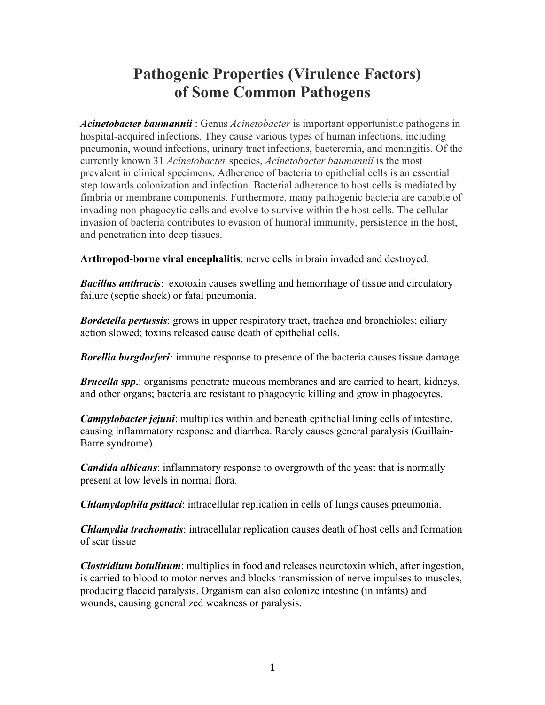## **Pathogenic Properties (Virulence Factors) of Some Common Pathogens**

*Acinetobacter baumannii* : Genus *Acinetobacter* is important opportunistic pathogens in hospital-acquired infections. They cause various types of human infections, including pneumonia, wound infections, urinary tract infections, bacteremia, and meningitis. Of the currently known 31 *Acinetobacter* species, *Acinetobacter baumannii* is the most prevalent in clinical specimens. Adherence of bacteria to epithelial cells is an essential step towards colonization and infection. Bacterial adherence to host cells is mediated by fimbria or membrane components. Furthermore, many pathogenic bacteria are capable of invading non-phagocytic cells and evolve to survive within the host cells. The cellular invasion of bacteria contributes to evasion of humoral immunity, persistence in the host, and penetration into deep tissues.

**Arthropod-borne viral encephalitis**: nerve cells in brain invaded and destroyed.

*Bacillus anthracis*: exotoxin causes swelling and hemorrhage of tissue and circulatory failure (septic shock) or fatal pneumonia.

*Bordetella pertussis*: grows in upper respiratory tract, trachea and bronchioles; ciliary action slowed; toxins released cause death of epithelial cells.

*Borellia burgdorferi:* immune response to presence of the bacteria causes tissue damage.

*Brucella spp***.**: organisms penetrate mucous membranes and are carried to heart, kidneys, and other organs; bacteria are resistant to phagocytic killing and grow in phagocytes.

*Campylobacter jejuni*: multiplies within and beneath epithelial lining cells of intestine, causing inflammatory response and diarrhea. Rarely causes general paralysis (Guillain-Barre syndrome).

*Candida albicans*: inflammatory response to overgrowth of the yeast that is normally present at low levels in normal flora.

*Chlamydophila psittaci*: intracellular replication in cells of lungs causes pneumonia.

*Chlamydia trachomatis*: intracellular replication causes death of host cells and formation of scar tissue

*Clostridium botulinum*: multiplies in food and releases neurotoxin which, after ingestion, is carried to blood to motor nerves and blocks transmission of nerve impulses to muscles, producing flaccid paralysis. Organism can also colonize intestine (in infants) and wounds, causing generalized weakness or paralysis.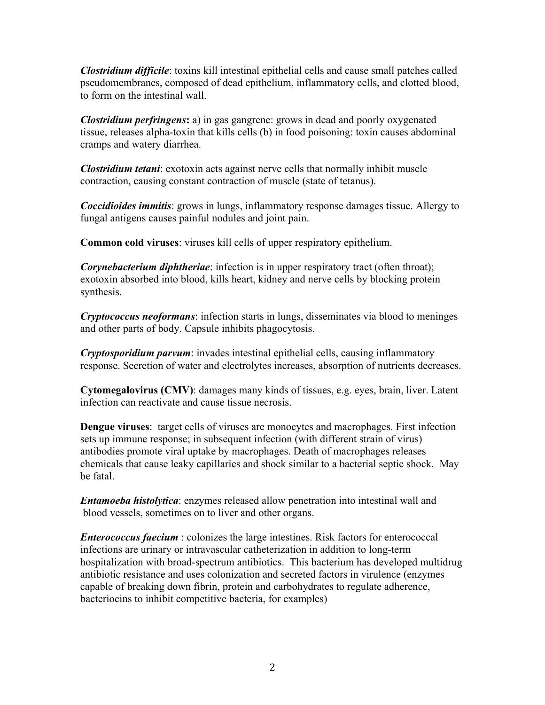*Clostridium difficile*: toxins kill intestinal epithelial cells and cause small patches called pseudomembranes, composed of dead epithelium, inflammatory cells, and clotted blood, to form on the intestinal wall.

*Clostridium perfringens***:** a) in gas gangrene: grows in dead and poorly oxygenated tissue, releases alpha-toxin that kills cells (b) in food poisoning: toxin causes abdominal cramps and watery diarrhea.

*Clostridium tetani*: exotoxin acts against nerve cells that normally inhibit muscle contraction, causing constant contraction of muscle (state of tetanus).

*Coccidioides immitis*: grows in lungs, inflammatory response damages tissue. Allergy to fungal antigens causes painful nodules and joint pain.

**Common cold viruses**: viruses kill cells of upper respiratory epithelium.

*Corynebacterium diphtheriae*: infection is in upper respiratory tract (often throat); exotoxin absorbed into blood, kills heart, kidney and nerve cells by blocking protein synthesis.

*Cryptococcus neoformans*: infection starts in lungs, disseminates via blood to meninges and other parts of body. Capsule inhibits phagocytosis.

*Cryptosporidium parvum*: invades intestinal epithelial cells, causing inflammatory response. Secretion of water and electrolytes increases, absorption of nutrients decreases.

**Cytomegalovirus (CMV)**: damages many kinds of tissues, e.g. eyes, brain, liver. Latent infection can reactivate and cause tissue necrosis.

**Dengue viruses**: target cells of viruses are monocytes and macrophages. First infection sets up immune response; in subsequent infection (with different strain of virus) antibodies promote viral uptake by macrophages. Death of macrophages releases chemicals that cause leaky capillaries and shock similar to a bacterial septic shock. May be fatal.

*Entamoeba histolytica*: enzymes released allow penetration into intestinal wall and blood vessels, sometimes on to liver and other organs.

*Enterococcus faecium* : colonizes the large intestines. Risk factors for enterococcal infections are urinary or intravascular catheterization in addition to long-term hospitalization with broad-spectrum antibiotics. This bacterium has developed multidrug antibiotic resistance and uses colonization and secreted factors in virulence (enzymes capable of breaking down fibrin, protein and carbohydrates to regulate adherence, bacteriocins to inhibit competitive bacteria, for examples)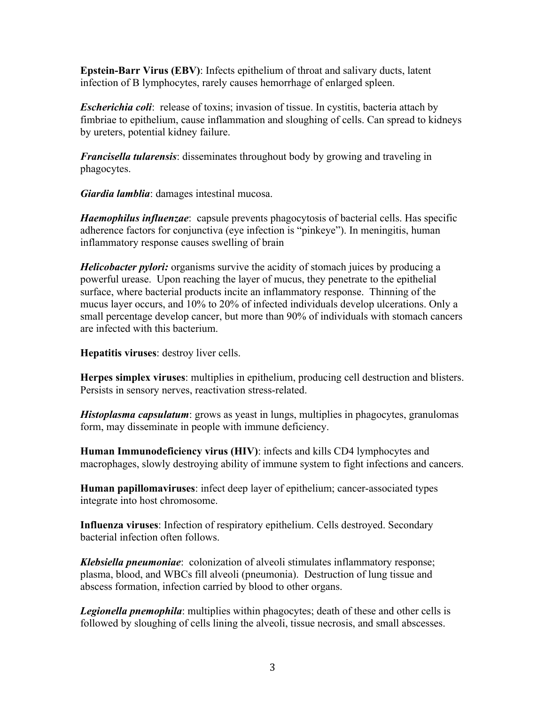**Epstein-Barr Virus (EBV)**: Infects epithelium of throat and salivary ducts, latent infection of B lymphocytes, rarely causes hemorrhage of enlarged spleen.

*Escherichia coli*: release of toxins; invasion of tissue. In cystitis, bacteria attach by fimbriae to epithelium, cause inflammation and sloughing of cells. Can spread to kidneys by ureters, potential kidney failure.

*Francisella tularensis*: disseminates throughout body by growing and traveling in phagocytes.

*Giardia lamblia*: damages intestinal mucosa.

*Haemophilus influenzae*: capsule prevents phagocytosis of bacterial cells. Has specific adherence factors for conjunctiva (eye infection is "pinkeye"). In meningitis, human inflammatory response causes swelling of brain

*Helicobacter pylori:* organisms survive the acidity of stomach juices by producing a powerful urease. Upon reaching the layer of mucus, they penetrate to the epithelial surface, where bacterial products incite an inflammatory response. Thinning of the mucus layer occurs, and 10% to 20% of infected individuals develop ulcerations. Only a small percentage develop cancer, but more than 90% of individuals with stomach cancers are infected with this bacterium.

**Hepatitis viruses**: destroy liver cells.

**Herpes simplex viruses**: multiplies in epithelium, producing cell destruction and blisters. Persists in sensory nerves, reactivation stress-related.

*Histoplasma capsulatum*: grows as yeast in lungs, multiplies in phagocytes, granulomas form, may disseminate in people with immune deficiency.

**Human Immunodeficiency virus (HIV)**: infects and kills CD4 lymphocytes and macrophages, slowly destroying ability of immune system to fight infections and cancers.

**Human papillomaviruses**: infect deep layer of epithelium; cancer-associated types integrate into host chromosome.

**Influenza viruses**: Infection of respiratory epithelium. Cells destroyed. Secondary bacterial infection often follows.

*Klebsiella pneumoniae*: colonization of alveoli stimulates inflammatory response; plasma, blood, and WBCs fill alveoli (pneumonia). Destruction of lung tissue and abscess formation, infection carried by blood to other organs.

*Legionella pnemophila*: multiplies within phagocytes; death of these and other cells is followed by sloughing of cells lining the alveoli, tissue necrosis, and small abscesses.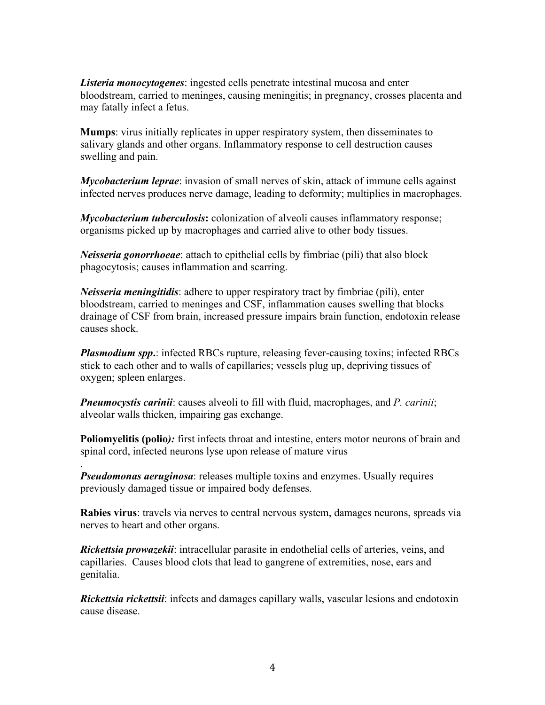*Listeria monocytogenes*: ingested cells penetrate intestinal mucosa and enter bloodstream, carried to meninges, causing meningitis; in pregnancy, crosses placenta and may fatally infect a fetus.

**Mumps**: virus initially replicates in upper respiratory system, then disseminates to salivary glands and other organs. Inflammatory response to cell destruction causes swelling and pain.

*Mycobacterium leprae*: invasion of small nerves of skin, attack of immune cells against infected nerves produces nerve damage, leading to deformity; multiplies in macrophages.

*Mycobacterium tuberculosis***:** colonization of alveoli causes inflammatory response; organisms picked up by macrophages and carried alive to other body tissues.

*Neisseria gonorrhoeae*: attach to epithelial cells by fimbriae (pili) that also block phagocytosis; causes inflammation and scarring.

*Neisseria meningitidis*: adhere to upper respiratory tract by fimbriae (pili), enter bloodstream, carried to meninges and CSF, inflammation causes swelling that blocks drainage of CSF from brain, increased pressure impairs brain function, endotoxin release causes shock.

*Plasmodium spp***.**: infected RBCs rupture, releasing fever-causing toxins; infected RBCs stick to each other and to walls of capillaries; vessels plug up, depriving tissues of oxygen; spleen enlarges.

*Pneumocystis carinii*: causes alveoli to fill with fluid, macrophages, and *P. carinii*; alveolar walls thicken, impairing gas exchange.

**Poliomyelitis (polio***):* first infects throat and intestine, enters motor neurons of brain and spinal cord, infected neurons lyse upon release of mature virus

*Pseudomonas aeruginosa*: releases multiple toxins and enzymes. Usually requires previously damaged tissue or impaired body defenses.

.

**Rabies virus**: travels via nerves to central nervous system, damages neurons, spreads via nerves to heart and other organs.

*Rickettsia prowazekii*: intracellular parasite in endothelial cells of arteries, veins, and capillaries. Causes blood clots that lead to gangrene of extremities, nose, ears and genitalia.

*Rickettsia rickettsii*: infects and damages capillary walls, vascular lesions and endotoxin cause disease.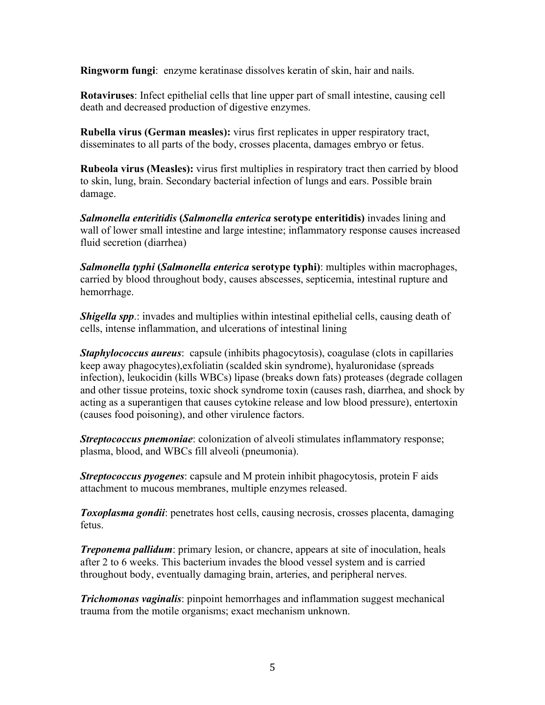**Ringworm fungi**: enzyme keratinase dissolves keratin of skin, hair and nails.

**Rotaviruses**: Infect epithelial cells that line upper part of small intestine, causing cell death and decreased production of digestive enzymes.

**Rubella virus (German measles):** virus first replicates in upper respiratory tract, disseminates to all parts of the body, crosses placenta, damages embryo or fetus.

**Rubeola virus (Measles):** virus first multiplies in respiratory tract then carried by blood to skin, lung, brain. Secondary bacterial infection of lungs and ears. Possible brain damage.

*Salmonella enteritidis* **(***Salmonella enterica* **serotype enteritidis)** invades lining and wall of lower small intestine and large intestine; inflammatory response causes increased fluid secretion (diarrhea)

*Salmonella typhi* **(***Salmonella enterica* **serotype typhi)**: multiples within macrophages, carried by blood throughout body, causes abscesses, septicemia, intestinal rupture and hemorrhage.

*Shigella spp.*: invades and multiplies within intestinal epithelial cells, causing death of cells, intense inflammation, and ulcerations of intestinal lining

*Staphylococcus aureus*: capsule (inhibits phagocytosis), coagulase (clots in capillaries keep away phagocytes),exfoliatin (scalded skin syndrome), hyaluronidase (spreads infection), leukocidin (kills WBCs) lipase (breaks down fats) proteases (degrade collagen and other tissue proteins, toxic shock syndrome toxin (causes rash, diarrhea, and shock by acting as a superantigen that causes cytokine release and low blood pressure), entertoxin (causes food poisoning), and other virulence factors.

*Streptococcus pnemoniae*: colonization of alveoli stimulates inflammatory response; plasma, blood, and WBCs fill alveoli (pneumonia).

*Streptococcus pyogenes*: capsule and M protein inhibit phagocytosis, protein F aids attachment to mucous membranes, multiple enzymes released.

*Toxoplasma gondii*: penetrates host cells, causing necrosis, crosses placenta, damaging fetus.

*Treponema pallidum*: primary lesion, or chancre, appears at site of inoculation, heals after 2 to 6 weeks. This bacterium invades the blood vessel system and is carried throughout body, eventually damaging brain, arteries, and peripheral nerves.

*Trichomonas vaginalis*: pinpoint hemorrhages and inflammation suggest mechanical trauma from the motile organisms; exact mechanism unknown.